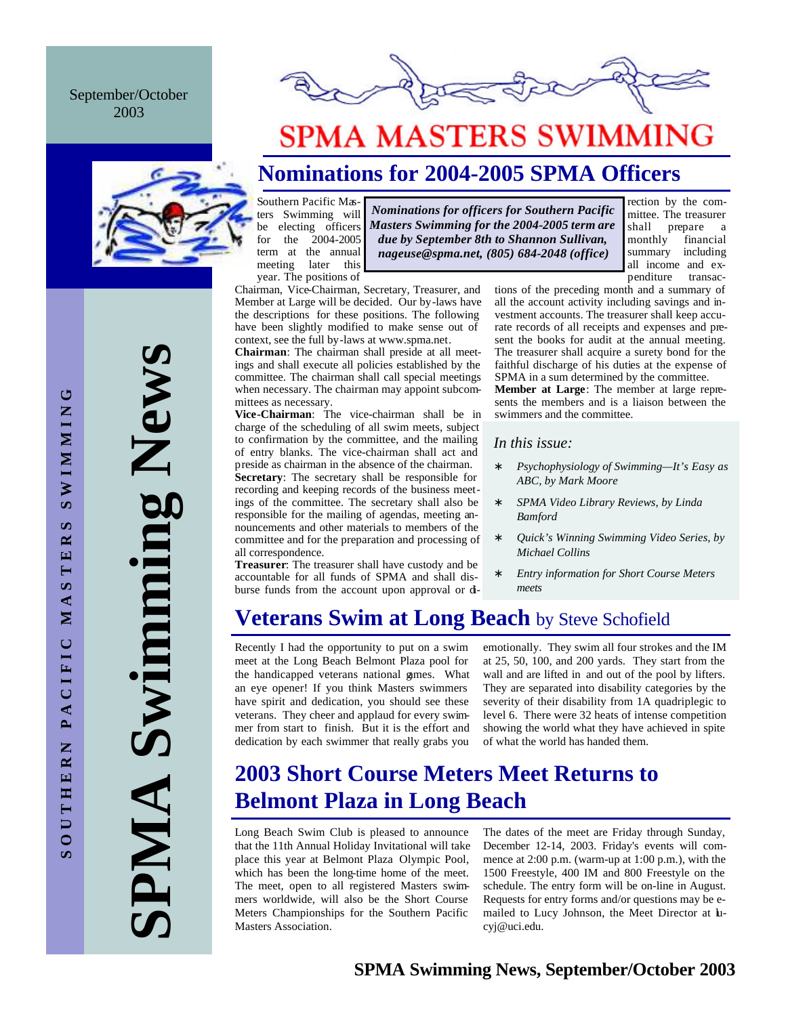September/October 2003



# **SPMA MASTERS SWIMMING**

## **Nominations for 2004-2005 SPMA Officers**

Southern Pacific Masters Swimming will be electing officers for the 2004-2005 term at the annual meeting later this year. The positions of

*Nominations for officers for Southern Pacific Masters Swimming for the 2004-2005 term are due by September 8th to Shannon Sullivan, nageuse@spma.net, (805) 684-2048 (office)*

Chairman, Vice-Chairman, Secretary, Treasurer, and Member at Large will be decided. Our by-laws have the descriptions for these positions. The following have been slightly modified to make sense out of context, see the full by-laws at www.spma.net.

**Chairman**: The chairman shall preside at all meetings and shall execute all policies established by the committee. The chairman shall call special meetings when necessary. The chairman may appoint subcommittees as necessary.

**Vice-Chairman**: The vice-chairman shall be in charge of the scheduling of all swim meets, subject to confirmation by the committee, and the mailing of entry blanks. The vice-chairman shall act and preside as chairman in the absence of the chairman. **Secretary**: The secretary shall be responsible for recording and keeping records of the business meetings of the committee. The secretary shall also be responsible for the mailing of agendas, meeting announcements and other materials to members of the committee and for the preparation and processing of all correspondence.

**Treasurer**: The treasurer shall have custody and be accountable for all funds of SPMA and shall disburse funds from the account upon approval or ditions of the preceding month and a summary of all the account activity including savings and investment accounts. The treasurer shall keep accurate records of all receipts and expenses and present the books for audit at the annual meeting. The treasurer shall acquire a surety bond for the faithful discharge of his duties at the expense of SPMA in a sum determined by the committee.

rection by the committee. The treasurer shall prepare a monthly financial summary including all income and expenditure transac-

**Member at Large**: The member at large represents the members and is a liaison between the swimmers and the committee.

#### *In this issue:*

- ∗ *Psychophysiology of Swimming—It's Easy as ABC, by Mark Moore*
- ∗ *SPMA Video Library Reviews, by Linda Bamford*
- ∗ *Quick's Winning Swimming Video Series, by Michael Collins*
- ∗ *Entry information for Short Course Meters meets*

### **Veterans Swim at Long Beach** by Steve Schofield

Recently I had the opportunity to put on a swim meet at the Long Beach Belmont Plaza pool for the handicapped veterans national games. What an eye opener! If you think Masters swimmers have spirit and dedication, you should see these veterans. They cheer and applaud for every swimmer from start to finish. But it is the effort and dedication by each swimmer that really grabs you

emotionally. They swim all four strokes and the IM at 25, 50, 100, and 200 yards. They start from the wall and are lifted in and out of the pool by lifters. They are separated into disability categories by the severity of their disability from 1A quadriplegic to level 6. There were 32 heats of intense competition showing the world what they have achieved in spite of what the world has handed them.

## **2003 Short Course Meters Meet Returns to Belmont Plaza in Long Beach**

Long Beach Swim Club is pleased to announce that the 11th Annual Holiday Invitational will take place this year at Belmont Plaza Olympic Pool, which has been the long-time home of the meet. The meet, open to all registered Masters swimmers worldwide, will also be the Short Course Meters Championships for the Southern Pacific Masters Association.

The dates of the meet are Friday through Sunday, December 12-14, 2003. Friday's events will commence at 2:00 p.m. (warm-up at 1:00 p.m.), with the 1500 Freestyle, 400 IM and 800 Freestyle on the schedule. The entry form will be on-line in August. Requests for entry forms and/or questions may be emailed to Lucy Johnson, the Meet Director at lucyj@uci.edu.

**SOUTHERN PACIFIC MAS TERS SWIMMING**

PACIFIC

SOUTHERN

ڻ

**NIMMINS** 

 $\boldsymbol{\omega}$  $\approx$ 

MASTE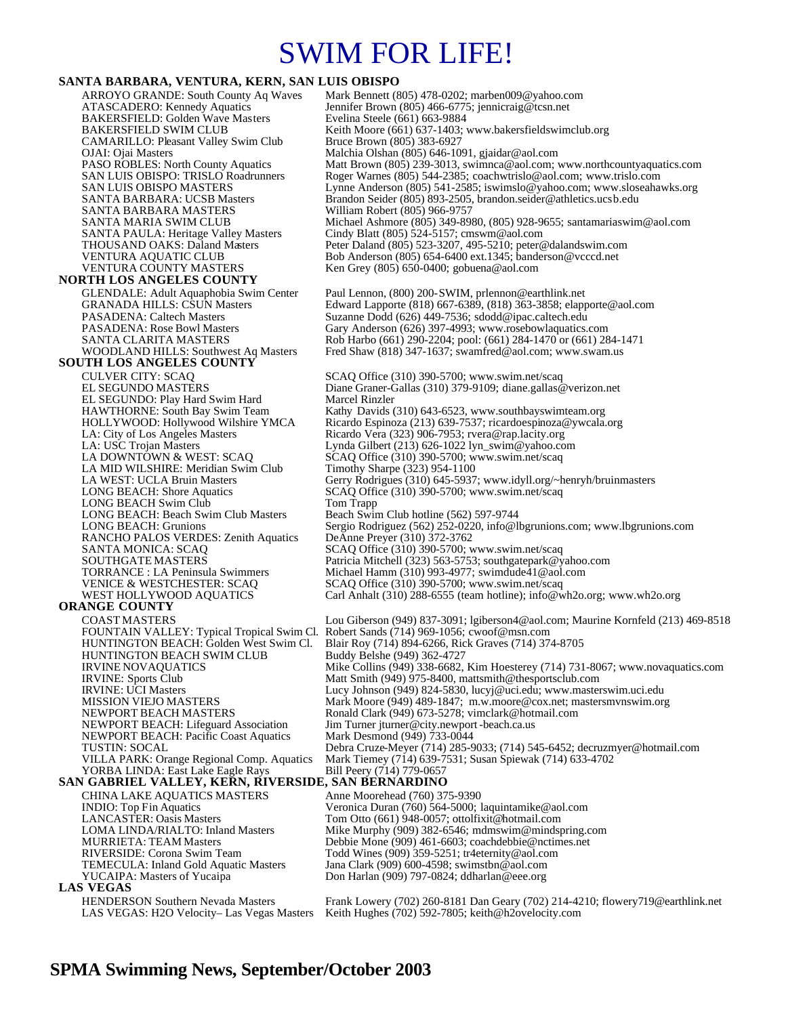# SWIM FOR LIFE!

#### **SANTA BARBARA, VENTURA, KERN, SAN LUIS OBISPO**

ARROYO GRANDE: South County Aq Waves Mark Bennett (805) 478-0202; marben009@yahoo.com<br>ATASCADERO: Kennedy Aquatics Jennifer Brown (805) 466-6775; jennicraig@tcsn.net Jennifer Brown (805) 466-6775; jennicraig@tcsn.net<br>Evelina Steele (661) 663-9884 BAKERSFIELD: Golden Wave Masters<br>BAKERSFIELD SWIM CLUB Keith Moore (661) 637-1403; www.bakersfieldswimclub.org<br>Bruce Brown (805) 383-6927 CAMARILLO: Pleasant Valley Swim Club<br>OJAI: Ojai Masters OJAI: Ojai Masters Malchia Olshan (805) 646-1091, gjaidar@aol.com PASO ROBLES: North County Aquatics Matt Brown (805) 239-3013, swimnca@aol.com; www.northcountyaquatics.com<br>SAN LUIS OBISPO: TRISLO Roadrunners Roger Warnes (805) 544-2385; coachwtrislo@aol.com; www.trislo.com SAN LUIS OBISPO: TRISLO Roadrunners Roger Warnes (805) 544-2385; coachwtrislo@aol.com; www.trislo.com<br>SAN LUIS OBISPO MASTERS Lynne Anderson (805) 541-2585; iswimslo@yahoo.com; www.sloseaha SAN LUIS OBISPO MASTERS<br>
SANTA BARBARA: UCSB Masters Brandon Seider (805) 893-2505, brandon.seider@athletics.ucsb.edu<br>
Brandon Seider (805) 893-2505, brandon.seider@athletics.ucsb.edu Brandon Seider (805) 893-2505, brandon seider@athletics.ucsb.edu<br>William Robert (805) 966-9757 SANTA BARBARA MASTERS SANTA MARIA SWIM CLUB Michael Ashmore (805) 349-8980, (805) 928-9655; santamariaswim@aol.com<br>SANTA PAULA: Heritage Valley Masters Cindy Blatt (805) 524-5157; cmswm@aol.com SANTA PAULA: Heritage Valley Masters Cindy Blatt (805) 524-5157; cmswm@aol.com<br>THOUSAND OAKS: Daland Masters Peter Daland (805) 523-3207, 495-5210; peter © THOUSAND OAKS: Daland Masters Peter Daland (805) 523-3207, 495-5210; peter@dalandswim.com<br>Peter Daland (805) 523-3207, 495-5210; peter@dalandswim.com<br>Peter Daba Anderson (805) 654-6400 ext.1345; banderson@vcccd.net VENTURA AQUATIC CLUB Bob Anderson (805) 654-6400 ext.1345; banderson @vcccd.net<br>VENTURA COUNTY MASTERS Ken Grey (805) 650-0400; gobuena @aol.com Ken Grey (805) 650-0400; gobuena@aol.com **NORTH LOS ANGELES COUNTY**  GLENDALE: Adult Aquaphobia Swim Center Paul Lennon, (800) 200-SWIM, prlennon@earthlink.net<br>GRANADA HILLS: CSUN Masters Edward Lapporte (818) 667-6389, (818) 363-3858; elapp GRANADA HILLS: CSUN Masters Edward Lapporte (818) 667-6389, (818) 363-3858; elapporte@aol.com<br>PASADENA: Caltech Masters Suzanne Dodd (626) 449-7536; sdodd@ipac.caltech.edu PASADENA: Caltech Masters Suzanne Dodd (626) 449-7536; sdodd@ipac.caltech.edu<br>PASADENA: Rose Bowl Masters Gary Anderson (626) 397-4993; www.rosebowlaquatics. PASADENA: Rose Bowl Masters Gary Anderson (626) 397-4993; www.rosebowlaquatics.com<br>SANTA CLARITA MASTERS Rob Harbo (661) 290-2204; pool: (661) 284-1470 or (661) 28 SANTA CLARITA MASTERS Rob Harbo (661) 290-2204; pool: (661) 284-1470 or (661) 284-1471<br>WOODLAND HILLS: Southwest Aq Masters Fred Shaw (818) 347-1637; swamfred@aol.com; www.swam.us Fred Shaw (818) 347-1637; swamfred@aol.com; www.swam.us **SOUTH LOS ANGELES COUNTY**  CULVER CITY: SCAQ SCAQ Office (310) 390-5700; www.swim.net/scaq<br>EL SEGUNDO MASTERS Diane Graner-Gallas (310) 379-9109; diane.gallas @ Diane Graner-Gallas (310) 379-9109; diane.gallas@verizon.net<br>Marcel Rinzler EL SEGUNDO: Play Hard Swim Hard<br>HAWTHORNE: South Bay Swim Team HAWTHORNE: South Bay Swim Team Kathy Davids (310) 643-6523, www.southbayswimteam.org<br>HOLLYWOOD: Hollywood Wilshire YMCA Ricardo Espinoza (213) 639-7537; ricardoespinoza@ywcala. HOLLYWOOD: Hollywood Wilshire YMCA Ricardo Espinoza (213) 639-7537; ricardoespinoza@ywcala.org<br>
LA: City of Los Angeles Masters Ricardo Vera (323) 906-7953; rvera@rap.lacity.org<br>
LA: USC Trojan Masters Lynda Gilbert (213) Ricardo Vera (323) 906-7953; rvera@rap.lacity.org LA: USC Trojan Masters Lynda Gilbert (213) 626-1022 lyn\_swim@yahoo.com<br>
LA DOWNTOWN & WEST: SCAQ SCAQ Office (310) 390-5700; www.swim.net/scaq SCAQ Office (310) 390-5700; www.swim.net/scaq<br>Timothy Sharpe (323) 954-1100 LA MID WILSHIRE: Meridian Swim Club<br>LA WEST: UCLA Bruin Masters LA WEST: UCLA Bruin Masters Gerry Rodrigues (310) 645-5937; www.idyll.org/~henryh/bruinmasters LONG BEACH: Shore Aquatics SCAQ Office (310) 390-5700; www.swim.net/scaq SCAQ Office (310) 390-5700; www.swim.net/scaq LONG BEACH Swim Club Tom Trapp<br>
LONG BEACH: Beach Swim Club Masters Beach Swim Club hotline (562) 597-9744 LONG BEACH: Beach Swim Club Masters<br>LONG BEACH: Grunions Sergio Rodriguez (562) 252-0220, info@lbgrunions.com; www.lbgrunions.com<br>DeAnne Preyer (310) 372-3762 RANCHO PALOS VERDES: Zenith Aquatics SANTA MONICA: SCAQ SCAQ Office (310) 390-5700; www.swim.net/scaq SOUTHGATE MASTERS Patricia Mitchell (323) 563-5753; southgatepark@yahoo.com<br>
TORRANCE : LA Peninsula Swimmers Michael Hamm (310) 993-4977; swimdude41@aol.com TORRANCE : LA Peninsula Swimmers Michael Hamm (310) 993-4977; swimdude41@aol.com VENICE & WESTCHESTER: SCAQ SCAQ Office (310) 390-5700; www.swim.net/scaq<br>WEST HOLLYWOOD AQUATICS Carl Anhalt (310) 288-6555 (team hotline); info@w Carl Anhalt (310) 288-6555 (team hotline); info@wh2o.org; www.wh2o.org **ORANGE COUNTY**  COAST MASTERS Lou Giberson (949) 837-3091; lgiberson4@aol.com; Maurine Kornfeld (213) 469-8518<br>FOUNTAIN VALLEY: Typical Tropical Swim Cl. Robert Sands (714) 969-1056; cwoof@msn.com FOUNTAIN VALLEY: Typical Tropical Swim Cl.<br>HUNTINGTON BEACH: Golden West Swim Cl. Blair Roy (714) 894-6266, Rick Graves (714) 374-8705<br>Buddy Belshe (949) 362-4727 HUNTINGTON BEACH SWIM CLUB<br>IRVINE NOVAQUATICS IRVINE NOVAQUATICS Mike Collins (949) 338-6682, Kim Hoesterey (714) 731-8067; www.novaquatics.com<br>IRVINE: Sports Club Matt Smith (949) 975-8400, mattsmith@thesportsclub.com IRVINE: Sports Club Matt Smith (949) 975-8400, mattsmith@thesportsclub.com<br>
IRVINE: UCI Masters Lucy Johnson (949) 824-5830, lucyj@uci.edu; www.master IRVINE: UCI Masters Lucy Johnson (949) 824-5830, lucyj@uci.edu; www.masterswim.uci.edu<br>MISSION VIEJO MASTERS Mark Moore (949) 489-1847: m.w.moore@cox.net: mastersmynswim.or Mark Moore (949) 489-1847; m.w.moore@cox.net; mastersmvnswim.org NEWPORT BEACH MASTERS<br>NEWPORT BEACH: Lifeguard Association Jim Turner jturner@city.newport-beach.ca.us Jim Turner jturner@city.newport-beach.ca.us<br>Mark Desmond (949) 733-0044 NEWPORT BEACH: Pacific Coast Aquatics TUSTIN: SOCAL Debra Cruze-Meyer (714) 285-9033; (714) 545-6452; decruzmyer@hotmail.com Mark Tiemey (714) 639-7531; Susan Spiewak (714) 633-4702 VILLA PARK: Orange Regional Comp. Aquatics Mark Tiemey (714)  $\frac{\partial 39 - 7}{\partial 539 - 7}$  YORBA LINDA: East Lake Eagle Rays **SAN GABRIEL VALLEY, KERN, RIVERSIDE, SAN BERNARDINO**  CHINA LAKE AQUATICS MASTERS Anne Moorehead (760) 375-9390 INDIO: Top Fin Aquatics Veronica Duran (760) 564-5000; laquintamike@aol.com<br>
LANCASTER: Oasis Masters Tom Otto (661) 948-0057; ottolfixit@hotmail.com LANCASTER: Oasis Masters Tom Otto (661) 948-0057; ottolfixit@hotmail.com<br>COMA LINDA/RIALTO: Inland Masters Mike Murphy (909) 382-6546; mdmswim@minds Mike Murphy (909) 382-6546; mdmswim@mindspring.com MURRIETA: TEAM Masters Debbie Mone (909) 461-6603; coachdebbie@nctimes.net<br>RIVERSIDE: Corona Swim Team Todd Wines (909) 359-5251; tr4eternity@aol.com RIVERSIDE: Corona Swim Team Todd Wines (909) 359-5251; tr4eternity@aol.com<br>TEMECULA: Inland Gold Aquatic Masters Jana Clark (909) 600-4598; swimstbn@aol.com TEMECULA: Inland Gold Aquatic Masters Jana Clark (909) 600-4598; swimstbn@aol.com<br>YUCAIPA: Masters of Yucaipa Don Harlan (909) 797-0824; ddharlan@eee.org Don Harlan (909) 797-0824; ddharlan@eee.org **LAS VEGAS**  HENDERSON Southern Nevada Masters Frank Lowery (702) 260-8181 Dan Geary (702) 214-4210; flowery719@earthlink.net LAS VEGAS: H2O Velocity– Las Vegas Masters Keith Hughes (702) 592-7805; keith@h2ovelocity.com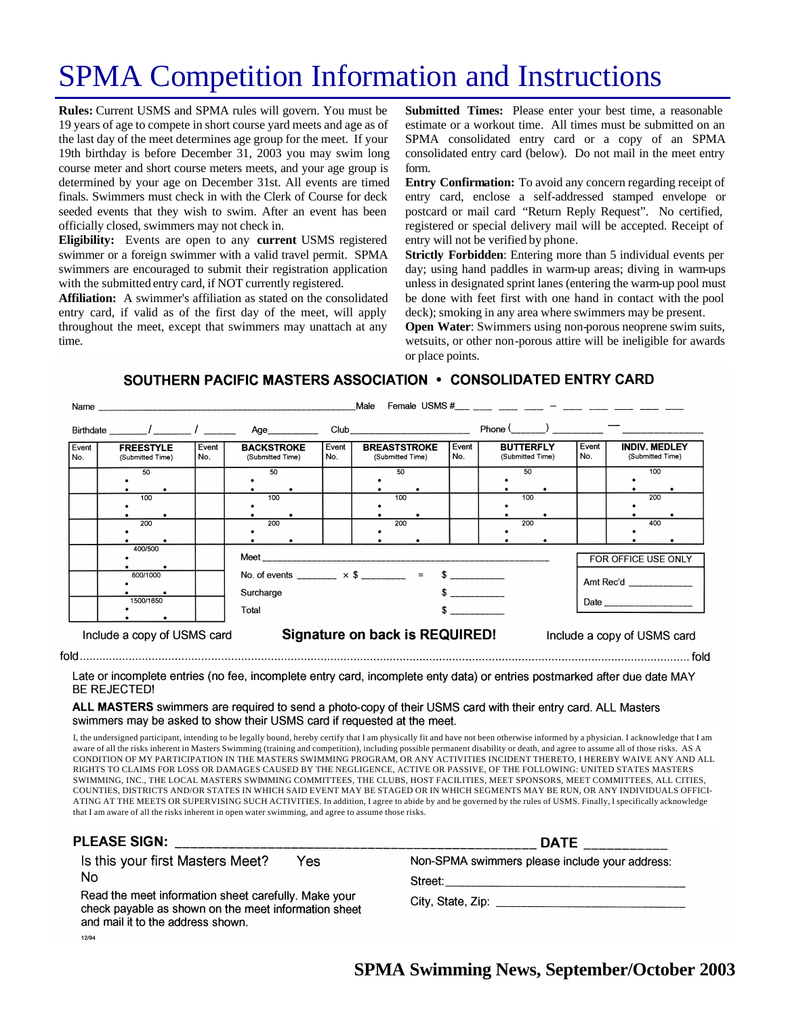# SPMA Competition Information and Instructions

**Rules:** Current USMS and SPMA rules will govern. You must be 19 years of age to compete in short course yard meets and age as of the last day of the meet determines age group for the meet. If your 19th birthday is before December 31, 2003 you may swim long course meter and short course meters meets, and your age group is determined by your age on December 31st. All events are timed finals. Swimmers must check in with the Clerk of Course for deck seeded events that they wish to swim. After an event has been officially closed, swimmers may not check in.

**Eligibility:** Events are open to any **current** USMS registered swimmer or a foreign swimmer with a valid travel permit. SPMA swimmers are encouraged to submit their registration application with the submitted entry card, if NOT currently registered.

**Affiliation:** A swimmer's affiliation as stated on the consolidated entry card, if valid as of the first day of the meet, will apply throughout the meet, except that swimmers may unattach at any time.

**Submitted Times:** Please enter your best time, a reasonable estimate or a workout time. All times must be submitted on an SPMA consolidated entry card or a copy of an SPMA consolidated entry card (below). Do not mail in the meet entry form.

**Entry Confirmation:** To avoid any concern regarding receipt of entry card, enclose a self-addressed stamped envelope or postcard or mail card "Return Reply Request". No certified, registered or special delivery mail will be accepted. Receipt of entry will not be verified by phone.

**Strictly Forbidden**: Entering more than 5 individual events per day; using hand paddles in warm-up areas; diving in warm-ups unless in designated sprint lanes (entering the warm-up pool must be done with feet first with one hand in contact with the pool deck); smoking in any area where swimmers may be present.

**Open Water:** Swimmers using non-porous neoprene swim suits, wetsuits, or other non-porous attire will be ineligible for awards or place points.

### SOUTHERN PACIFIC MASTERS ASSOCIATION . CONSOLIDATED ENTRY CARD

|                                                                                              | Name and the contract of the contract of the contract of the contract of the contract of the contract of the contract of the contract of the contract of the contract of the contract of the contract of the contract of the c |              |                                                                                                                                                                                                                                                                                            |              | Male                                    |                     | Female USMS #___ ___ ___ ___ _ __ _ ___ |              |                                          |
|----------------------------------------------------------------------------------------------|--------------------------------------------------------------------------------------------------------------------------------------------------------------------------------------------------------------------------------|--------------|--------------------------------------------------------------------------------------------------------------------------------------------------------------------------------------------------------------------------------------------------------------------------------------------|--------------|-----------------------------------------|---------------------|-----------------------------------------|--------------|------------------------------------------|
|                                                                                              |                                                                                                                                                                                                                                |              | Birthdate _______/ ________ / ________ Age__________                                                                                                                                                                                                                                       |              |                                         |                     | Phone $(\_\_)$ $\_\_$                   |              |                                          |
| Event<br>No.                                                                                 | <b>FREESTYLE</b><br>(Submitted Time)                                                                                                                                                                                           | Event<br>No. | <b>BACKSTROKE</b><br>(Submitted Time)                                                                                                                                                                                                                                                      | Event<br>No. | <b>BREASTSTROKE</b><br>(Submitted Time) | Event<br>l No.      | <b>BUTTERFLY</b><br>(Submitted Time)    | Event<br>No. | <b>INDIV. MEDLEY</b><br>(Submitted Time) |
|                                                                                              | 50                                                                                                                                                                                                                             |              | 50                                                                                                                                                                                                                                                                                         |              | 50                                      |                     | 50                                      |              | 100                                      |
|                                                                                              |                                                                                                                                                                                                                                |              |                                                                                                                                                                                                                                                                                            |              |                                         |                     |                                         |              |                                          |
|                                                                                              |                                                                                                                                                                                                                                |              | 100                                                                                                                                                                                                                                                                                        |              | 100                                     |                     | 100                                     |              | 200                                      |
|                                                                                              | 100                                                                                                                                                                                                                            |              |                                                                                                                                                                                                                                                                                            |              |                                         |                     |                                         |              |                                          |
|                                                                                              |                                                                                                                                                                                                                                |              |                                                                                                                                                                                                                                                                                            |              |                                         |                     |                                         |              |                                          |
|                                                                                              | 200                                                                                                                                                                                                                            |              | 200                                                                                                                                                                                                                                                                                        |              | 200                                     |                     | 200                                     |              | 400                                      |
|                                                                                              |                                                                                                                                                                                                                                |              |                                                                                                                                                                                                                                                                                            |              |                                         |                     |                                         |              |                                          |
|                                                                                              |                                                                                                                                                                                                                                |              |                                                                                                                                                                                                                                                                                            |              |                                         |                     |                                         |              |                                          |
|                                                                                              | 400/500<br>800/1000<br>1500/1650                                                                                                                                                                                               |              | Meet the contract of the contract of the contract of the contract of the contract of the contract of the contract of the contract of the contract of the contract of the contract of the contract of the contract of the contr<br>No. of events $\times$ \$ = \$<br>Amt Rec'd<br>Surcharge |              |                                         | FOR OFFICE USE ONLY |                                         |              |                                          |
|                                                                                              | Total                                                                                                                                                                                                                          |              |                                                                                                                                                                                                                                                                                            |              |                                         |                     |                                         |              |                                          |
| Signature on back is REQUIRED!<br>Include a copy of USMS card<br>Include a copy of USMS card |                                                                                                                                                                                                                                |              |                                                                                                                                                                                                                                                                                            |              |                                         |                     |                                         |              |                                          |

Late or incomplete entries (no fee, incomplete entry card, incomplete enty data) or entries postmarked after due date MAY **BE REJECTED!** 

#### ALL MASTERS swimmers are required to send a photo-copy of their USMS card with their entry card. ALL Masters swimmers may be asked to show their USMS card if requested at the meet.

I, the undersigned participant, intending to be legally bound, hereby certify that I am physically fit and have not been otherwise informed by a physician. I acknowledge that I am aware of all the risks inherent in Masters Swimming (training and competition), including possible permanent disability or death, and agree to assume all of those risks. AS A CONDITION OF MY PARTICIPATION IN THE MASTERS SWIMMING PROGRAM, OR ANY ACTIVITIES INCIDENT THERETO, I HEREBY WAIVE ANY AND ALL RIGHTS TO CLAIMS FOR LOSS OR DAMAGES CAUSED BY THE NEGLIGENCE, ACTIVE OR PASSIVE, OF THE FOLLOWING: UNITED STATES MASTERS SWIMMING, INC., THE LOCAL MASTERS SWIMMING COMMITTEES, THE CLUBS, HOST FACILITIES, MEET SPONSORS, MEET COMMITTEES, ALL CITIES, COUNTIES, DISTRICTS AND/OR STATES IN WHICH SAID EVENT MAY BE STAGED OR IN WHICH SEGMENTS MAY BE RUN, OR ANY INDIVIDUALS OFFICI-ATING AT THE MEETS OR SUPERVISING SUCH ACTIVITIES. In addition, I agree to abide by and be governed by the rules of USMS. Finally, I specifically acknowledge that I am aware of all the risks inherent in open water swimming, and agree to assume those risks.

| <b>PLEASE SIGN:</b>                                                                                                                               | <b>DATE</b>                                    |  |  |  |
|---------------------------------------------------------------------------------------------------------------------------------------------------|------------------------------------------------|--|--|--|
| Is this your first Masters Meet?<br>Yes                                                                                                           | Non-SPMA swimmers please include your address: |  |  |  |
| No                                                                                                                                                | Street:_________________                       |  |  |  |
| Read the meet information sheet carefully. Make your<br>check payable as shown on the meet information sheet<br>and mail it to the address shown. | City, State, Zip: ________________             |  |  |  |
| 12/04                                                                                                                                             |                                                |  |  |  |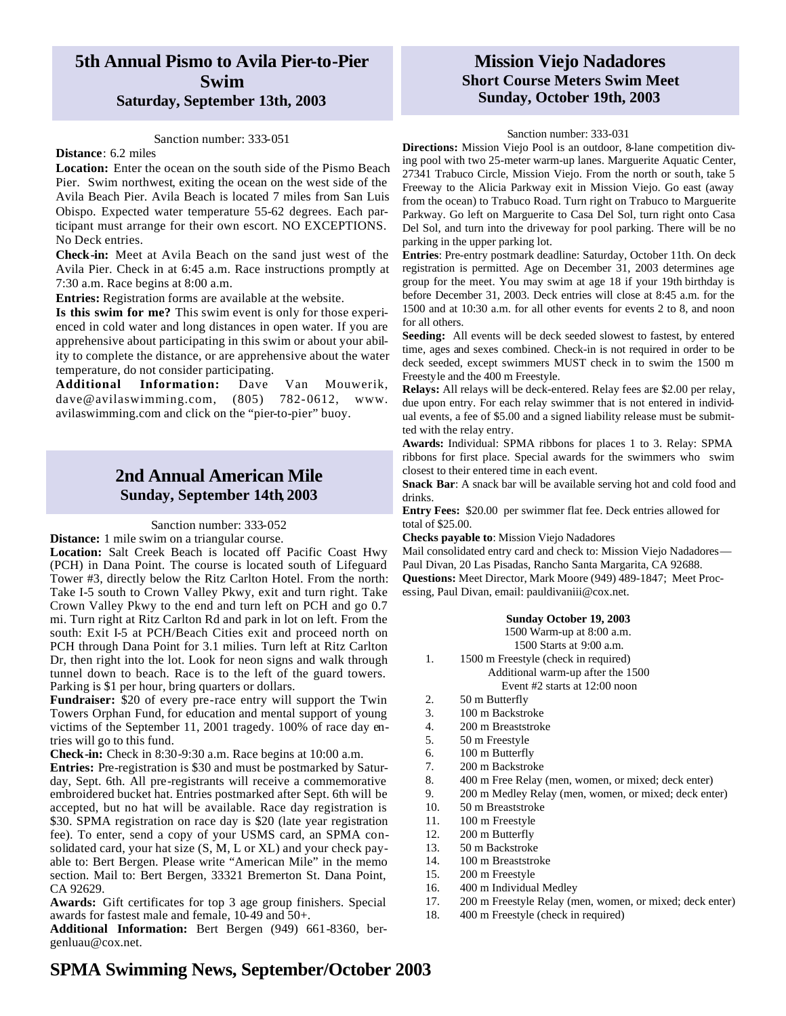### **5th Annual Pismo to Avila Pier-to-Pier Swim Saturday, September 13th, 2003**

#### Sanction number: 333-051

#### **Distance**: 6.2 miles

**Location:** Enter the ocean on the south side of the Pismo Beach Pier. Swim northwest, exiting the ocean on the west side of the Avila Beach Pier. Avila Beach is located 7 miles from San Luis Obispo. Expected water temperature 55-62 degrees. Each participant must arrange for their own escort. NO EXCEPTIONS. No Deck entries.

**Check-in:** Meet at Avila Beach on the sand just west of the Avila Pier. Check in at 6:45 a.m. Race instructions promptly at 7:30 a.m. Race begins at 8:00 a.m.

**Entries:** Registration forms are available at the website.

**Is this swim for me?** This swim event is only for those experienced in cold water and long distances in open water. If you are apprehensive about participating in this swim or about your ability to complete the distance, or are apprehensive about the water temperature, do not consider participating.

**Additional Information:** Dave Van Mouwerik, dave@avilaswimming.com, (805) 782-0612, www. avilaswimming.com and click on the "pier-to-pier" buoy.

### **2nd Annual American Mile Sunday, September 14th, 2003**

#### Sanction number: 333-052

**Distance:** 1 mile swim on a triangular course.

**Location:** Salt Creek Beach is located off Pacific Coast Hwy (PCH) in Dana Point. The course is located south of Lifeguard Tower #3, directly below the Ritz Carlton Hotel. From the north: Take I-5 south to Crown Valley Pkwy, exit and turn right. Take Crown Valley Pkwy to the end and turn left on PCH and go 0.7 mi. Turn right at Ritz Carlton Rd and park in lot on left. From the south: Exit I-5 at PCH/Beach Cities exit and proceed north on PCH through Dana Point for 3.1 milies. Turn left at Ritz Carlton Dr, then right into the lot. Look for neon signs and walk through tunnel down to beach. Race is to the left of the guard towers. Parking is \$1 per hour, bring quarters or dollars.

**Fundraiser:** \$20 of every pre-race entry will support the Twin Towers Orphan Fund, for education and mental support of young victims of the September 11, 2001 tragedy. 100% of race day entries will go to this fund.

**Check-in:** Check in 8:30-9:30 a.m. Race begins at 10:00 a.m.

**Entries:** Pre-registration is \$30 and must be postmarked by Saturday, Sept. 6th. All pre-registrants will receive a commemorative embroidered bucket hat. Entries postmarked after Sept. 6th will be accepted, but no hat will be available. Race day registration is \$30. SPMA registration on race day is \$20 (late year registration fee). To enter, send a copy of your USMS card, an SPMA consolidated card, your hat size (S, M, L or XL) and your check payable to: Bert Bergen. Please write "American Mile" in the memo section. Mail to: Bert Bergen, 33321 Bremerton St. Dana Point, CA 92629.

**Awards:** Gift certificates for top 3 age group finishers. Special awards for fastest male and female, 10-49 and 50+.

**Additional Information:** Bert Bergen (949) 661-8360, bergenluau@cox.net.

### **Mission Viejo Nadadores Short Course Meters Swim Meet Sunday, October 19th, 2003**

#### Sanction number: 333-031

**Directions:** Mission Viejo Pool is an outdoor, 8-lane competition diving pool with two 25-meter warm-up lanes. Marguerite Aquatic Center, 27341 Trabuco Circle, Mission Viejo. From the north or south, take 5 Freeway to the Alicia Parkway exit in Mission Viejo. Go east (away from the ocean) to Trabuco Road. Turn right on Trabuco to Marguerite Parkway. Go left on Marguerite to Casa Del Sol, turn right onto Casa Del Sol, and turn into the driveway for pool parking. There will be no parking in the upper parking lot.

**Entries**: Pre-entry postmark deadline: Saturday, October 11th. On deck registration is permitted. Age on December 31, 2003 determines age group for the meet. You may swim at age 18 if your 19th birthday is before December 31, 2003. Deck entries will close at 8:45 a.m. for the 1500 and at 10:30 a.m. for all other events for events 2 to 8, and noon for all others.

**Seeding:** All events will be deck seeded slowest to fastest, by entered time, ages and sexes combined. Check-in is not required in order to be deck seeded, except swimmers MUST check in to swim the 1500 m Freestyle and the 400 m Freestyle.

**Relays:** All relays will be deck-entered. Relay fees are \$2.00 per relay, due upon entry. For each relay swimmer that is not entered in individual events, a fee of \$5.00 and a signed liability release must be submitted with the relay entry.

**Awards:** Individual: SPMA ribbons for places 1 to 3. Relay: SPMA ribbons for first place. Special awards for the swimmers who swim closest to their entered time in each event.

**Snack Bar**: A snack bar will be available serving hot and cold food and drinks.

**Entry Fees:** \$20.00 per swimmer flat fee. Deck entries allowed for total of \$25.00.

**Checks payable to**: Mission Viejo Nadadores

Mail consolidated entry card and check to: Mission Viejo Nadadores— Paul Divan, 20 Las Pisadas, Rancho Santa Margarita, CA 92688. **Questions:** Meet Director, Mark Moore (949) 489-1847; Meet Processing, Paul Divan, email: pauldivaniii@cox.net.

#### **Sunday October 19, 2003**

1500 Warm-up at 8:00 a.m.

- 1500 Starts at 9:00 a.m.
- 1. 1500 m Freestyle (check in required) Additional warm-up after the 1500 Event #2 starts at 12:00 noon
- 2. 50 m Butterfly
- 3. 100 m Backstroke
- 4. 200 m Breaststroke
- 5. 50 m Freestyle
- 6. 100 m Butterfly
- 7. 200 m Backstroke
- 8. 400 m Free Relay (men, women, or mixed; deck enter)
- 9. 200 m Medley Relay (men, women, or mixed; deck enter)
- 10. 50 m Breaststroke
- 11. 100 m Freestyle
- 12. 200 m Butterfly
- 13. 50 m Backstroke
- 14. 100 m Breaststroke
- 15. 200 m Freestyle
- 16. 400 m Individual Medley
- 17. 200 m Freestyle Relay (men, women, or mixed; deck enter)
- 18. 400 m Freestyle (check in required)

### **SPMA Swimming News, September/October 2003**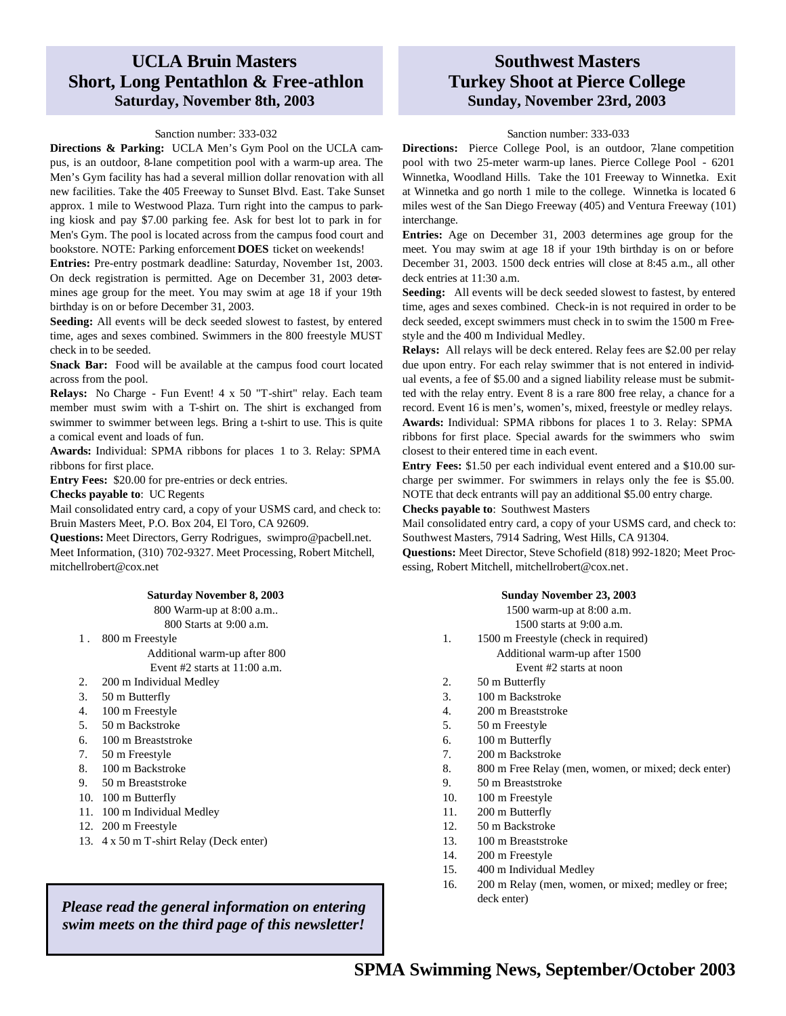### **UCLA Bruin Masters Short, Long Pentathlon & Free-athlon Saturday, November 8th, 2003**

#### Sanction number: 333-032

**Directions & Parking:** UCLA Men's Gym Pool on the UCLA campus, is an outdoor, 8-lane competition pool with a warm-up area. The Men's Gym facility has had a several million dollar renovation with all new facilities. Take the 405 Freeway to Sunset Blvd. East. Take Sunset approx. 1 mile to Westwood Plaza. Turn right into the campus to parking kiosk and pay \$7.00 parking fee. Ask for best lot to park in for Men's Gym. The pool is located across from the campus food court and bookstore. NOTE: Parking enforcement **DOES** ticket on weekends!

**Entries:** Pre-entry postmark deadline: Saturday, November 1st, 2003. On deck registration is permitted. Age on December 31, 2003 determines age group for the meet. You may swim at age 18 if your 19th birthday is on or before December 31, 2003.

**Seeding:** All events will be deck seeded slowest to fastest, by entered time, ages and sexes combined. Swimmers in the 800 freestyle MUST check in to be seeded.

**Snack Bar:** Food will be available at the campus food court located across from the pool.

**Relays:** No Charge - Fun Event! 4 x 50 "T-shirt" relay. Each team member must swim with a T-shirt on. The shirt is exchanged from swimmer to swimmer between legs. Bring a t-shirt to use. This is quite a comical event and loads of fun.

**Awards:** Individual: SPMA ribbons for places 1 to 3. Relay: SPMA ribbons for first place.

**Entry Fees:** \$20.00 for pre-entries or deck entries.

**Checks payable to**: UC Regents

Mail consolidated entry card, a copy of your USMS card, and check to: Bruin Masters Meet, P.O. Box 204, El Toro, CA 92609.

**Questions:** Meet Directors, Gerry Rodrigues, swimpro@pacbell.net. Meet Information, (310) 702-9327. Meet Processing, Robert Mitchell, mitchellrobert@cox.net

#### **Saturday November 8, 2003**

800 Warm-up at 8:00 a.m..

800 Starts at 9:00 a.m.

1. 800 m Freestyle Additional warm-up after 800

Event #2 starts at 11:00 a.m.

- 2. 200 m Individual Medley
- 3. 50 m Butterfly
- 4. 100 m Freestyle
- 5.50 m Backstroke
- 6. 100 m Breaststroke
- 7. 50 m Freestyle
- 8. 100 m Backstroke
- 9. 50 m Breaststroke
- 10. 100 m Butterfly
- 11. 100 m Individual Medley
- 12. 200 m Freestyle
- 13. 4 x 50 m T-shirt Relay (Deck enter)

*Please read the general information on entering swim meets on the third page of this newsletter!*

### **Southwest Masters Turkey Shoot at Pierce College Sunday, November 23rd, 2003**

#### Sanction number: 333-033

**Directions:** Pierce College Pool, is an outdoor, 7-lane competition pool with two 25-meter warm-up lanes. Pierce College Pool - 6201 Winnetka, Woodland Hills. Take the 101 Freeway to Winnetka. Exit at Winnetka and go north 1 mile to the college. Winnetka is located 6 miles west of the San Diego Freeway (405) and Ventura Freeway (101) interchange.

**Entries:** Age on December 31, 2003 determines age group for the meet. You may swim at age 18 if your 19th birthday is on or before December 31, 2003. 1500 deck entries will close at 8:45 a.m., all other deck entries at 11:30 a.m.

**Seeding:** All events will be deck seeded slowest to fastest, by entered time, ages and sexes combined. Check-in is not required in order to be deck seeded, except swimmers must check in to swim the 1500 m Freestyle and the 400 m Individual Medley.

**Relays:** All relays will be deck entered. Relay fees are \$2.00 per relay due upon entry. For each relay swimmer that is not entered in individual events, a fee of \$5.00 and a signed liability release must be submitted with the relay entry. Event 8 is a rare 800 free relay, a chance for a record. Event 16 is men's, women's, mixed, freestyle or medley relays. **Awards:** Individual: SPMA ribbons for places 1 to 3. Relay: SPMA ribbons for first place. Special awards for the swimmers who swim closest to their entered time in each event.

**Entry Fees:** \$1.50 per each individual event entered and a \$10.00 surcharge per swimmer. For swimmers in relays only the fee is \$5.00. NOTE that deck entrants will pay an additional \$5.00 entry charge.

**Checks payable to**: Southwest Masters

Mail consolidated entry card, a copy of your USMS card, and check to: Southwest Masters, 7914 Sadring, West Hills, CA 91304. **Questions:** Meet Director, Steve Schofield (818) 992-1820; Meet Proc-

essing, Robert Mitchell, mitchellrobert@cox.net.

#### **Sunday November 23, 2003**

1500 warm-up at 8:00 a.m.

1500 starts at 9:00 a.m.

1. 1500 m Freestyle (check in required) Additional warm-up after 1500

Event #2 starts at noon

- 2. 50 m Butterfly
- 3. 100 m Backstroke
- 4. 200 m Breaststroke
- 5. 50 m Freestyle
- 6. 100 m Butterfly
- 7. 200 m Backstroke
- 8. 800 m Free Relay (men, women, or mixed; deck enter)
- 9. 50 m Breaststroke
- 10. 100 m Freestyle
- 11. 200 m Butterfly
- 12. 50 m Backstroke
- 13. 100 m Breaststroke
- 14. 200 m Freestyle
- 15. 400 m Individual Medley
- 16. 200 m Relay (men, women, or mixed; medley or free; deck enter)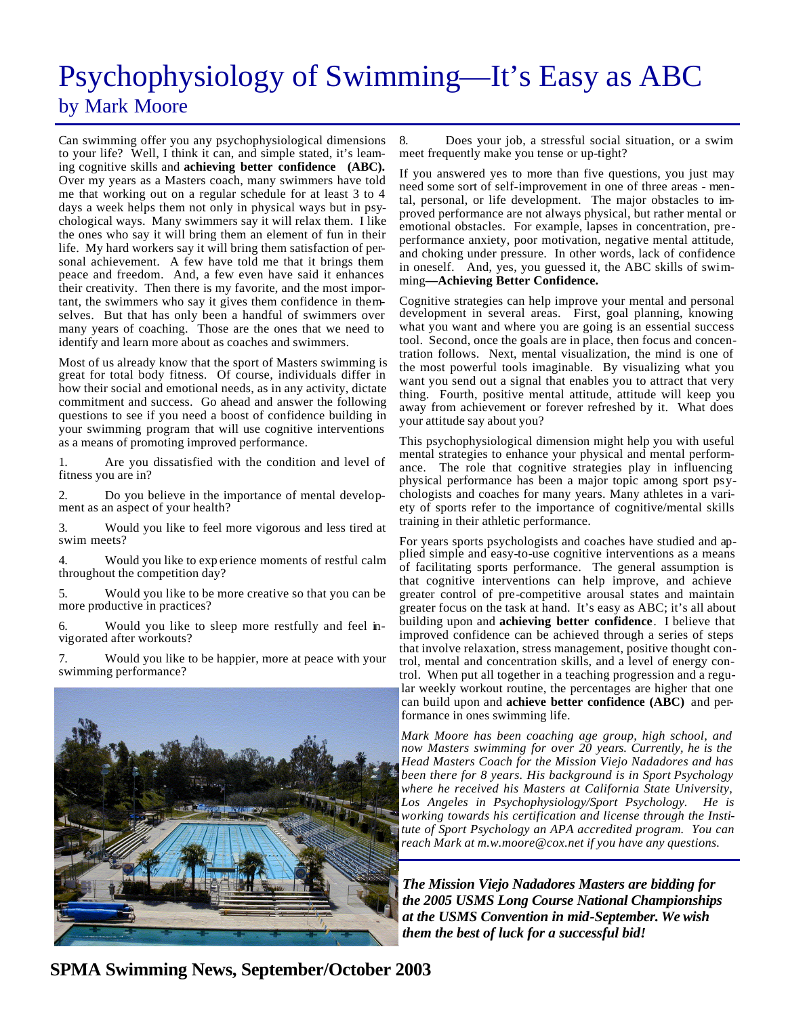# Psychophysiology of Swimming—It's Easy as ABC by Mark Moore

Can swimming offer you any psychophysiological dimensions to your life? Well, I think it can, and simple stated, it's learning cognitive skills and **achieving better confidence (ABC).** Over my years as a Masters coach, many swimmers have told me that working out on a regular schedule for at least 3 to 4 days a week helps them not only in physical ways but in psychological ways. Many swimmers say it will relax them. I like the ones who say it will bring them an element of fun in their life. My hard workers say it will bring them satisfaction of personal achievement. A few have told me that it brings them peace and freedom. And, a few even have said it enhances their creativity. Then there is my favorite, and the most important, the swimmers who say it gives them confidence in themselves. But that has only been a handful of swimmers over many years of coaching. Those are the ones that we need to identify and learn more about as coaches and swimmers.

Most of us already know that the sport of Masters swimming is great for total body fitness. Of course, individuals differ in how their social and emotional needs, as in any activity, dictate commitment and success. Go ahead and answer the following questions to see if you need a boost of confidence building in your swimming program that will use cognitive interventions as a means of promoting improved performance.

1. Are you dissatisfied with the condition and level of fitness you are in?

2. Do you believe in the importance of mental development as an aspect of your health?

3. Would you like to feel more vigorous and less tired at swim meets?

4. Would you like to exp erience moments of restful calm throughout the competition day?

5. Would you like to be more creative so that you can be more productive in practices?

Would you like to sleep more restfully and feel invigorated after workouts?

7. Would you like to be happier, more at peace with your swimming performance?



8. Does your job, a stressful social situation, or a swim meet frequently make you tense or up-tight?

If you answered yes to more than five questions, you just may need some sort of self-improvement in one of three areas - mental, personal, or life development. The major obstacles to improved performance are not always physical, but rather mental or emotional obstacles. For example, lapses in concentration, preperformance anxiety, poor motivation, negative mental attitude, and choking under pressure. In other words, lack of confidence in oneself. And, yes, you guessed it, the ABC skills of swimming**—Achieving Better Confidence.**

Cognitive strategies can help improve your mental and personal development in several areas. First, goal planning, knowing what you want and where you are going is an essential success tool. Second, once the goals are in place, then focus and concentration follows. Next, mental visualization, the mind is one of the most powerful tools imaginable. By visualizing what you want you send out a signal that enables you to attract that very thing. Fourth, positive mental attitude, attitude will keep you away from achievement or forever refreshed by it. What does your attitude say about you?

This psychophysiological dimension might help you with useful mental strategies to enhance your physical and mental performance. The role that cognitive strategies play in influencing physical performance has been a major topic among sport psychologists and coaches for many years. Many athletes in a variety of sports refer to the importance of cognitive/mental skills training in their athletic performance.

For years sports psychologists and coaches have studied and applied simple and easy-to-use cognitive interventions as a means of facilitating sports performance. The general assumption is that cognitive interventions can help improve, and achieve greater control of pre-competitive arousal states and maintain greater focus on the task at hand. It's easy as ABC; it's all about building upon and **achieving better confidence**. I believe that improved confidence can be achieved through a series of steps that involve relaxation, stress management, positive thought control, mental and concentration skills, and a level of energy control. When put all together in a teaching progression and a regular weekly workout routine, the percentages are higher that one can build upon and **achieve better confidence (ABC)** and performance in ones swimming life.

*Mark Moore has been coaching age group, high school, and now Masters swimming for over 20 years. Currently, he is the Head Masters Coach for the Mission Viejo Nadadores and has been there for 8 years. His background is in Sport Psychology where he received his Masters at California State University, Los Angeles in Psychophysiology/Sport Psychology. He is working towards his certification and license through the Institute of Sport Psychology an APA accredited program. You can reach Mark at m.w.moore@cox.net if you have any questions.*

*The Mission Viejo Nadadores Masters are bidding for the 2005 USMS Long Course National Championships at the USMS Convention in mid-September. We wish them the best of luck for a successful bid!*

**SPMA Swimming News, September/October 2003**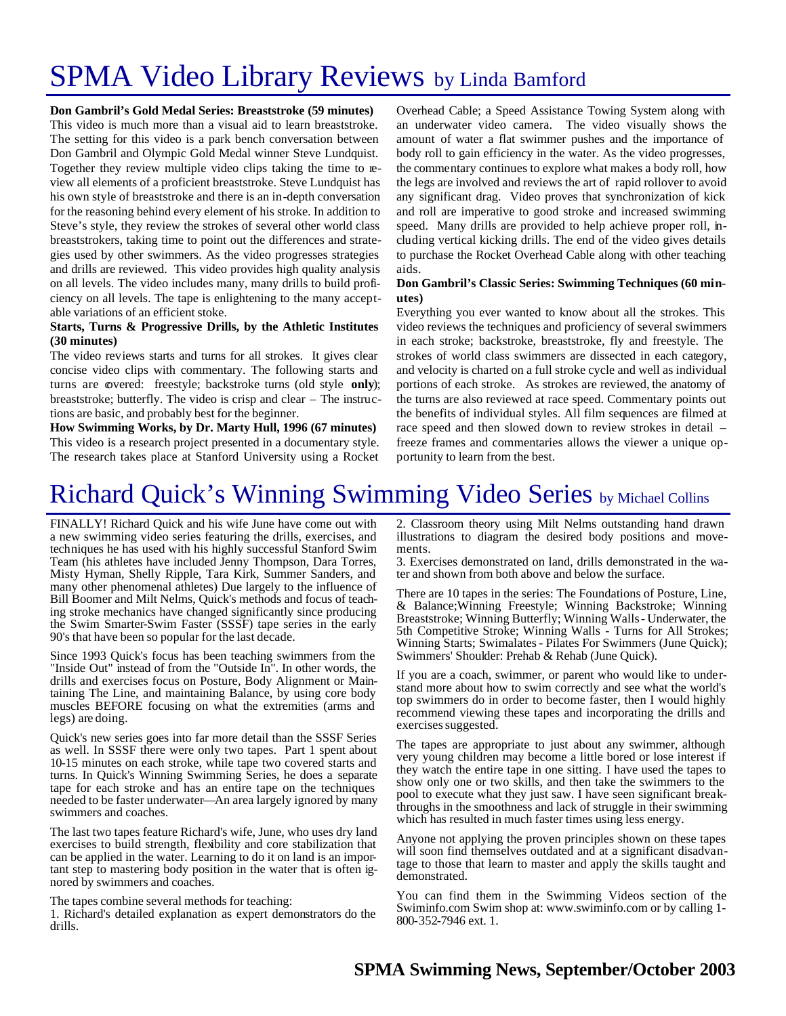# SPMA Video Library Reviews by Linda Bamford

**Don Gambril's Gold Medal Series: Breaststroke (59 minutes)**

This video is much more than a visual aid to learn breaststroke. The setting for this video is a park bench conversation between Don Gambril and Olympic Gold Medal winner Steve Lundquist. Together they review multiple video clips taking the time to review all elements of a proficient breaststroke. Steve Lundquist has his own style of breaststroke and there is an in-depth conversation for the reasoning behind every element of his stroke. In addition to Steve's style, they review the strokes of several other world class breaststrokers, taking time to point out the differences and strategies used by other swimmers. As the video progresses strategies and drills are reviewed. This video provides high quality analysis on all levels. The video includes many, many drills to build proficiency on all levels. The tape is enlightening to the many acceptable variations of an efficient stoke.

#### **Starts, Turns & Progressive Drills, by the Athletic Institutes (30 minutes)**

The video reviews starts and turns for all strokes. It gives clear concise video clips with commentary. The following starts and turns are covered: freestyle; backstroke turns (old style **only**); breaststroke; butterfly. The video is crisp and clear – The instructions are basic, and probably best for the beginner.

**How Swimming Works, by Dr. Marty Hull, 1996 (67 minutes)** This video is a research project presented in a documentary style. The research takes place at Stanford University using a Rocket

Overhead Cable; a Speed Assistance Towing System along with an underwater video camera. The video visually shows the amount of water a flat swimmer pushes and the importance of body roll to gain efficiency in the water. As the video progresses, the commentary continues to explore what makes a body roll, how the legs are involved and reviews the art of rapid rollover to avoid any significant drag. Video proves that synchronization of kick and roll are imperative to good stroke and increased swimming speed. Many drills are provided to help achieve proper roll, including vertical kicking drills. The end of the video gives details to purchase the Rocket Overhead Cable along with other teaching aids.

#### **Don Gambril's Classic Series: Swimming Techniques (60 minutes)**

Everything you ever wanted to know about all the strokes. This video reviews the techniques and proficiency of several swimmers in each stroke; backstroke, breaststroke, fly and freestyle. The strokes of world class swimmers are dissected in each category, and velocity is charted on a full stroke cycle and well as individual portions of each stroke. As strokes are reviewed, the anatomy of the turns are also reviewed at race speed. Commentary points out the benefits of individual styles. All film sequences are filmed at race speed and then slowed down to review strokes in detail – freeze frames and commentaries allows the viewer a unique opportunity to learn from the best.

## Richard Quick's Winning Swimming Video Series by Michael Collins

FINALLY! Richard Quick and his wife June have come out with a new swimming video series featuring the drills, exercises, and techniques he has used with his highly successful Stanford Swim Team (his athletes have included Jenny Thompson, Dara Torres, Misty Hyman, Shelly Ripple, Tara Kirk, Summer Sanders, and many other phenomenal athletes) Due largely to the influence of Bill Boomer and Milt Nelms, Quick's methods and focus of teaching stroke mechanics have changed significantly since producing the Swim Smarter-Swim Faster (SSSF) tape series in the early 90's that have been so popular for the last decade.

Since 1993 Quick's focus has been teaching swimmers from the "Inside Out" instead of from the "Outside In". In other words, the drills and exercises focus on Posture, Body Alignment or Maintaining The Line, and maintaining Balance, by using core body muscles BEFORE focusing on what the extremities (arms and legs) are doing.

Quick's new series goes into far more detail than the SSSF Series as well. In SSSF there were only two tapes. Part 1 spent about 10-15 minutes on each stroke, while tape two covered starts and turns. In Quick's Winning Swimming Series, he does a separate tape for each stroke and has an entire tape on the techniques needed to be faster underwater—An area largely ignored by many swimmers and coaches.

The last two tapes feature Richard's wife, June, who uses dry land exercises to build strength, flexibility and core stabilization that can be applied in the water. Learning to do it on land is an important step to mastering body position in the water that is often ignored by swimmers and coaches.

The tapes combine several methods for teaching:

1. Richard's detailed explanation as expert demonstrators do the drills.

2. Classroom theory using Milt Nelms outstanding hand drawn illustrations to diagram the desired body positions and movements.

3. Exercises demonstrated on land, drills demonstrated in the water and shown from both above and below the surface.

There are 10 tapes in the series: The Foundations of Posture, Line, & Balance;Winning Freestyle; Winning Backstroke; Winning Breaststroke; Winning Butterfly; Winning Walls - Underwater, the 5th Competitive Stroke; Winning Walls - Turns for All Strokes; Winning Starts; Swimalates - Pilates For Swimmers (June Quick); Swimmers' Shoulder: Prehab & Rehab (June Quick).

If you are a coach, swimmer, or parent who would like to understand more about how to swim correctly and see what the world's top swimmers do in order to become faster, then I would highly recommend viewing these tapes and incorporating the drills and exercises suggested.

The tapes are appropriate to just about any swimmer, although very young children may become a little bored or lose interest if they watch the entire tape in one sitting. I have used the tapes to show only one or two skills, and then take the swimmers to the pool to execute what they just saw. I have seen significant breakthroughs in the smoothness and lack of struggle in their swimming which has resulted in much faster times using less energy.

Anyone not applying the proven principles shown on these tapes will soon find themselves outdated and at a significant disadvantage to those that learn to master and apply the skills taught and demonstrated.

You can find them in the Swimming Videos section of the Swiminfo.com Swim shop at: www.swiminfo.com or by calling 1- 800-352-7946 ext. 1.